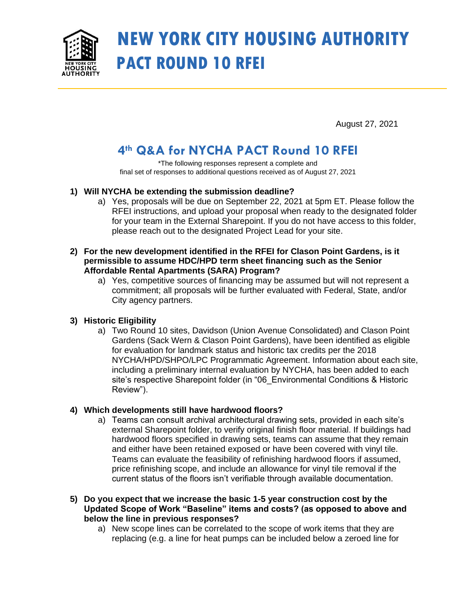

# **NEW YORK CITY HOUSING AUTHORITY PACT ROUND 10 RFEI**

August 27, 2021

# **4th Q&A for NYCHA PACT Round 10 RFEI**

\*The following responses represent a complete and final set of responses to additional questions received as of August 27, 2021

# **1) Will NYCHA be extending the submission deadline?**

a) Yes, proposals will be due on September 22, 2021 at 5pm ET. Please follow the RFEI instructions, and upload your proposal when ready to the designated folder for your team in the External Sharepoint. If you do not have access to this folder, please reach out to the designated Project Lead for your site.

#### **2) For the new development identified in the RFEI for Clason Point Gardens, is it permissible to assume HDC/HPD term sheet financing such as the Senior Affordable Rental Apartments (SARA) Program?**

a) Yes, competitive sources of financing may be assumed but will not represent a commitment; all proposals will be further evaluated with Federal, State, and/or City agency partners.

# **3) Historic Eligibility**

a) Two Round 10 sites, Davidson (Union Avenue Consolidated) and Clason Point Gardens (Sack Wern & Clason Point Gardens), have been identified as eligible for evaluation for landmark status and historic tax credits per the 2018 NYCHA/HPD/SHPO/LPC Programmatic Agreement. Information about each site, including a preliminary internal evaluation by NYCHA, has been added to each site's respective Sharepoint folder (in "06\_Environmental Conditions & Historic Review").

# **4) Which developments still have hardwood floors?**

- a) Teams can consult archival architectural drawing sets, provided in each site's external Sharepoint folder, to verify original finish floor material. If buildings had hardwood floors specified in drawing sets, teams can assume that they remain and either have been retained exposed or have been covered with vinyl tile. Teams can evaluate the feasibility of refinishing hardwood floors if assumed, price refinishing scope, and include an allowance for vinyl tile removal if the current status of the floors isn't verifiable through available documentation.
- **5) Do you expect that we increase the basic 1-5 year construction cost by the Updated Scope of Work "Baseline" items and costs? (as opposed to above and below the line in previous responses?**
	- a) New scope lines can be correlated to the scope of work items that they are replacing (e.g. a line for heat pumps can be included below a zeroed line for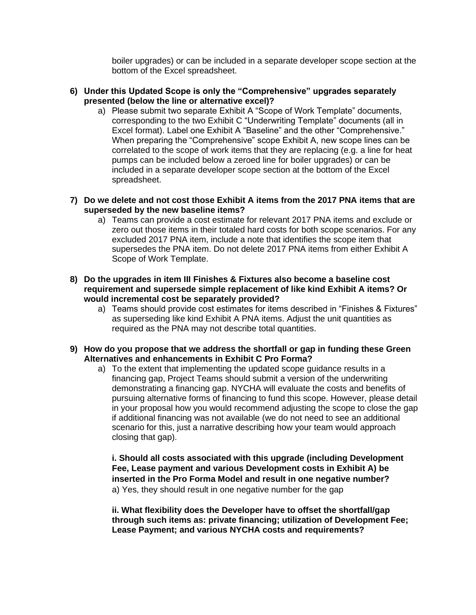boiler upgrades) or can be included in a separate developer scope section at the bottom of the Excel spreadsheet.

- **6) Under this Updated Scope is only the "Comprehensive" upgrades separately presented (below the line or alternative excel)?**
	- a) Please submit two separate Exhibit A "Scope of Work Template" documents, corresponding to the two Exhibit C "Underwriting Template" documents (all in Excel format). Label one Exhibit A "Baseline" and the other "Comprehensive." When preparing the "Comprehensive" scope Exhibit A, new scope lines can be correlated to the scope of work items that they are replacing (e.g. a line for heat pumps can be included below a zeroed line for boiler upgrades) or can be included in a separate developer scope section at the bottom of the Excel spreadsheet.
- **7) Do we delete and not cost those Exhibit A items from the 2017 PNA items that are superseded by the new baseline items?**
	- a) Teams can provide a cost estimate for relevant 2017 PNA items and exclude or zero out those items in their totaled hard costs for both scope scenarios. For any excluded 2017 PNA item, include a note that identifies the scope item that supersedes the PNA item. Do not delete 2017 PNA items from either Exhibit A Scope of Work Template.
- **8) Do the upgrades in item III Finishes & Fixtures also become a baseline cost requirement and supersede simple replacement of like kind Exhibit A items? Or would incremental cost be separately provided?**
	- a) Teams should provide cost estimates for items described in "Finishes & Fixtures" as superseding like kind Exhibit A PNA items. Adjust the unit quantities as required as the PNA may not describe total quantities.
- **9) How do you propose that we address the shortfall or gap in funding these Green Alternatives and enhancements in Exhibit C Pro Forma?** 
	- a) To the extent that implementing the updated scope guidance results in a financing gap, Project Teams should submit a version of the underwriting demonstrating a financing gap. NYCHA will evaluate the costs and benefits of pursuing alternative forms of financing to fund this scope. However, please detail in your proposal how you would recommend adjusting the scope to close the gap if additional financing was not available (we do not need to see an additional scenario for this, just a narrative describing how your team would approach closing that gap).

**i. Should all costs associated with this upgrade (including Development Fee, Lease payment and various Development costs in Exhibit A) be inserted in the Pro Forma Model and result in one negative number?** a) Yes, they should result in one negative number for the gap

**ii. What flexibility does the Developer have to offset the shortfall/gap through such items as: private financing; utilization of Development Fee; Lease Payment; and various NYCHA costs and requirements?**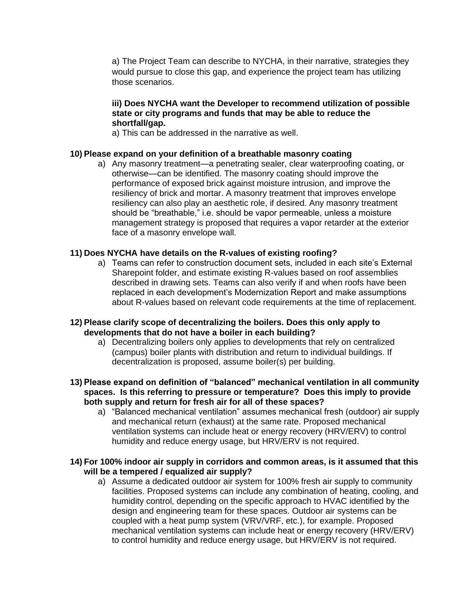a) The Project Team can describe to NYCHA, in their narrative, strategies they would pursue to close this gap, and experience the project team has utilizing those scenarios.

#### **iii) Does NYCHA want the Developer to recommend utilization of possible state or city programs and funds that may be able to reduce the shortfall/gap.**

a) This can be addressed in the narrative as well.

#### **10) Please expand on your definition of a breathable masonry coating**

a) Any masonry treatment—a penetrating sealer, clear waterproofing coating, or otherwise—can be identified. The masonry coating should improve the performance of exposed brick against moisture intrusion, and improve the resiliency of brick and mortar. A masonry treatment that improves envelope resiliency can also play an aesthetic role, if desired. Any masonry treatment should be "breathable," i.e. should be vapor permeable, unless a moisture management strategy is proposed that requires a vapor retarder at the exterior face of a masonry envelope wall.

#### **11) Does NYCHA have details on the R-values of existing roofing?**

a) Teams can refer to construction document sets, included in each site's External Sharepoint folder, and estimate existing R-values based on roof assemblies described in drawing sets. Teams can also verify if and when roofs have been replaced in each development's Modernization Report and make assumptions about R-values based on relevant code requirements at the time of replacement.

#### **12) Please clarify scope of decentralizing the boilers. Does this only apply to developments that do not have a boiler in each building?**

- a) Decentralizing boilers only applies to developments that rely on centralized (campus) boiler plants with distribution and return to individual buildings. If decentralization is proposed, assume boiler(s) per building.
- **13) Please expand on definition of "balanced" mechanical ventilation in all community spaces. Is this referring to pressure or temperature? Does this imply to provide both supply and return for fresh air for all of these spaces?**
	- a) "Balanced mechanical ventilation" assumes mechanical fresh (outdoor) air supply and mechanical return (exhaust) at the same rate. Proposed mechanical ventilation systems can include heat or energy recovery (HRV/ERV) to control humidity and reduce energy usage, but HRV/ERV is not required.

#### **14) For 100% indoor air supply in corridors and common areas, is it assumed that this will be a tempered / equalized air supply?**

a) Assume a dedicated outdoor air system for 100% fresh air supply to community facilities. Proposed systems can include any combination of heating, cooling, and humidity control, depending on the specific approach to HVAC identified by the design and engineering team for these spaces. Outdoor air systems can be coupled with a heat pump system (VRV/VRF, etc.), for example. Proposed mechanical ventilation systems can include heat or energy recovery (HRV/ERV) to control humidity and reduce energy usage, but HRV/ERV is not required.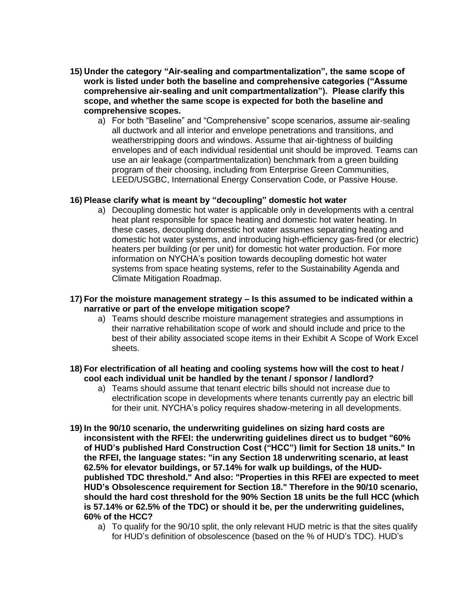- **15) Under the category "Air-sealing and compartmentalization", the same scope of work is listed under both the baseline and comprehensive categories ("Assume comprehensive air-sealing and unit compartmentalization"). Please clarify this scope, and whether the same scope is expected for both the baseline and comprehensive scopes.**
	- a) For both "Baseline" and "Comprehensive" scope scenarios, assume air-sealing all ductwork and all interior and envelope penetrations and transitions, and weatherstripping doors and windows. Assume that air-tightness of building envelopes and of each individual residential unit should be improved. Teams can use an air leakage (compartmentalization) benchmark from a green building program of their choosing, including from Enterprise Green Communities, LEED/USGBC, International Energy Conservation Code, or Passive House.

#### **16) Please clarify what is meant by "decoupling" domestic hot water**

a) Decoupling domestic hot water is applicable only in developments with a central heat plant responsible for space heating and domestic hot water heating. In these cases, decoupling domestic hot water assumes separating heating and domestic hot water systems, and introducing high-efficiency gas-fired (or electric) heaters per building (or per unit) for domestic hot water production. For more information on NYCHA's position towards decoupling domestic hot water systems from space heating systems, refer to the Sustainability Agenda and Climate Mitigation Roadmap.

#### **17) For the moisture management strategy – Is this assumed to be indicated within a narrative or part of the envelope mitigation scope?**

a) Teams should describe moisture management strategies and assumptions in their narrative rehabilitation scope of work and should include and price to the best of their ability associated scope items in their Exhibit A Scope of Work Excel sheets.

#### **18) For electrification of all heating and cooling systems how will the cost to heat / cool each individual unit be handled by the tenant / sponsor / landlord?**

- a) Teams should assume that tenant electric bills should not increase due to electrification scope in developments where tenants currently pay an electric bill for their unit. NYCHA's policy requires shadow-metering in all developments.
- **19) In the 90/10 scenario, the underwriting guidelines on sizing hard costs are inconsistent with the RFEI: the underwriting guidelines direct us to budget "60% of HUD's published Hard Construction Cost ("HCC") limit for Section 18 units." In the RFEI, the language states: "in any Section 18 underwriting scenario, at least 62.5% for elevator buildings, or 57.14% for walk up buildings, of the HUDpublished TDC threshold." And also: "Properties in this RFEI are expected to meet HUD's Obsolescence requirement for Section 18." Therefore in the 90/10 scenario, should the hard cost threshold for the 90% Section 18 units be the full HCC (which is 57.14% or 62.5% of the TDC) or should it be, per the underwriting guidelines, 60% of the HCC?**
	- a) To qualify for the 90/10 split, the only relevant HUD metric is that the sites qualify for HUD's definition of obsolescence (based on the % of HUD's TDC). HUD's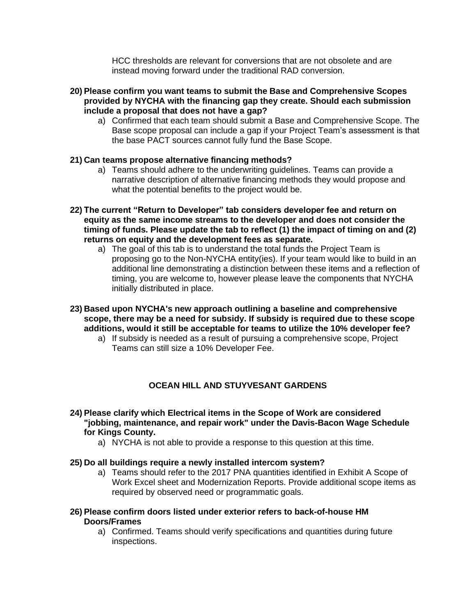HCC thresholds are relevant for conversions that are not obsolete and are instead moving forward under the traditional RAD conversion.

- **20) Please confirm you want teams to submit the Base and Comprehensive Scopes provided by NYCHA with the financing gap they create. Should each submission include a proposal that does not have a gap?** 
	- a) Confirmed that each team should submit a Base and Comprehensive Scope. The Base scope proposal can include a gap if your Project Team's assessment is that the base PACT sources cannot fully fund the Base Scope.

#### **21) Can teams propose alternative financing methods?**

- a) Teams should adhere to the underwriting guidelines. Teams can provide a narrative description of alternative financing methods they would propose and what the potential benefits to the project would be.
- **22) The current "Return to Developer" tab considers developer fee and return on equity as the same income streams to the developer and does not consider the timing of funds. Please update the tab to reflect (1) the impact of timing on and (2) returns on equity and the development fees as separate.**
	- a) The goal of this tab is to understand the total funds the Project Team is proposing go to the Non-NYCHA entity(ies). If your team would like to build in an additional line demonstrating a distinction between these items and a reflection of timing, you are welcome to, however please leave the components that NYCHA initially distributed in place.
- **23) Based upon NYCHA's new approach outlining a baseline and comprehensive scope, there may be a need for subsidy. If subsidy is required due to these scope additions, would it still be acceptable for teams to utilize the 10% developer fee?**
	- a) If subsidy is needed as a result of pursuing a comprehensive scope, Project Teams can still size a 10% Developer Fee.

#### **OCEAN HILL AND STUYVESANT GARDENS**

- **24) Please clarify which Electrical items in the Scope of Work are considered "jobbing, maintenance, and repair work" under the Davis-Bacon Wage Schedule for Kings County.**
	- a) NYCHA is not able to provide a response to this question at this time.

#### **25) Do all buildings require a newly installed intercom system?**

- a) Teams should refer to the 2017 PNA quantities identified in Exhibit A Scope of Work Excel sheet and Modernization Reports. Provide additional scope items as required by observed need or programmatic goals.
- **26) Please confirm doors listed under exterior refers to back-of-house HM Doors/Frames**
	- a) Confirmed. Teams should verify specifications and quantities during future inspections.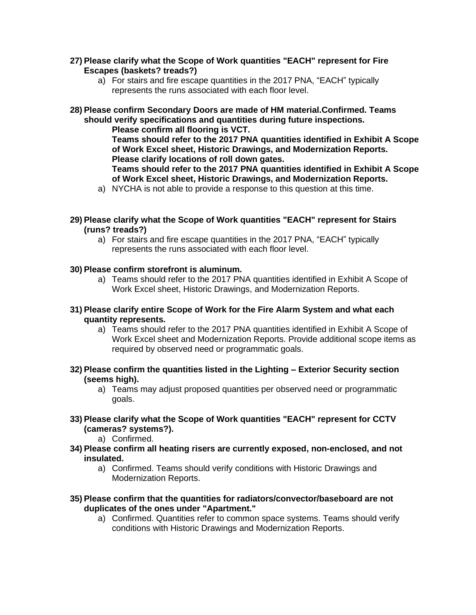#### **27) Please clarify what the Scope of Work quantities "EACH" represent for Fire Escapes (baskets? treads?)**

a) For stairs and fire escape quantities in the 2017 PNA, "EACH" typically represents the runs associated with each floor level.

**28) Please confirm Secondary Doors are made of HM material.Confirmed. Teams should verify specifications and quantities during future inspections.**

**Please confirm all flooring is VCT.** 

**Teams should refer to the 2017 PNA quantities identified in Exhibit A Scope of Work Excel sheet, Historic Drawings, and Modernization Reports. Please clarify locations of roll down gates.** 

**Teams should refer to the 2017 PNA quantities identified in Exhibit A Scope of Work Excel sheet, Historic Drawings, and Modernization Reports.**

- a) NYCHA is not able to provide a response to this question at this time.
- **29) Please clarify what the Scope of Work quantities "EACH" represent for Stairs (runs? treads?)** 
	- a) For stairs and fire escape quantities in the 2017 PNA, "EACH" typically represents the runs associated with each floor level.
- **30) Please confirm storefront is aluminum.**
	- a) Teams should refer to the 2017 PNA quantities identified in Exhibit A Scope of Work Excel sheet, Historic Drawings, and Modernization Reports.
- **31) Please clarify entire Scope of Work for the Fire Alarm System and what each quantity represents.** 
	- a) Teams should refer to the 2017 PNA quantities identified in Exhibit A Scope of Work Excel sheet and Modernization Reports. Provide additional scope items as required by observed need or programmatic goals.
- **32) Please confirm the quantities listed in the Lighting – Exterior Security section (seems high).** 
	- a) Teams may adjust proposed quantities per observed need or programmatic goals.
- **33) Please clarify what the Scope of Work quantities "EACH" represent for CCTV (cameras? systems?).** 
	- a) Confirmed.
- **34) Please confirm all heating risers are currently exposed, non-enclosed, and not insulated.** 
	- a) Confirmed. Teams should verify conditions with Historic Drawings and Modernization Reports.
- **35) Please confirm that the quantities for radiators/convector/baseboard are not duplicates of the ones under "Apartment."** 
	- a) Confirmed. Quantities refer to common space systems. Teams should verify conditions with Historic Drawings and Modernization Reports.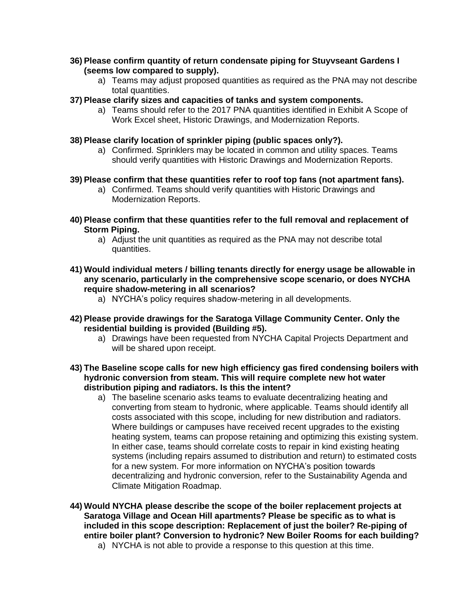#### **36) Please confirm quantity of return condensate piping for Stuyvseant Gardens I (seems low compared to supply).**

- a) Teams may adjust proposed quantities as required as the PNA may not describe total quantities.
- **37) Please clarify sizes and capacities of tanks and system components.** 
	- a) Teams should refer to the 2017 PNA quantities identified in Exhibit A Scope of Work Excel sheet, Historic Drawings, and Modernization Reports.
- **38) Please clarify location of sprinkler piping (public spaces only?).** 
	- a) Confirmed. Sprinklers may be located in common and utility spaces. Teams should verify quantities with Historic Drawings and Modernization Reports.
- **39) Please confirm that these quantities refer to roof top fans (not apartment fans).**
	- a) Confirmed. Teams should verify quantities with Historic Drawings and Modernization Reports.
- **40) Please confirm that these quantities refer to the full removal and replacement of Storm Piping.** 
	- a) Adjust the unit quantities as required as the PNA may not describe total quantities.
- **41) Would individual meters / billing tenants directly for energy usage be allowable in any scenario, particularly in the comprehensive scope scenario, or does NYCHA require shadow-metering in all scenarios?**
	- a) NYCHA's policy requires shadow-metering in all developments.
- **42) Please provide drawings for the Saratoga Village Community Center. Only the residential building is provided (Building #5).**
	- a) Drawings have been requested from NYCHA Capital Projects Department and will be shared upon receipt.
- **43) The Baseline scope calls for new high efficiency gas fired condensing boilers with hydronic conversion from steam. This will require complete new hot water distribution piping and radiators. Is this the intent?**
	- a) The baseline scenario asks teams to evaluate decentralizing heating and converting from steam to hydronic, where applicable. Teams should identify all costs associated with this scope, including for new distribution and radiators. Where buildings or campuses have received recent upgrades to the existing heating system, teams can propose retaining and optimizing this existing system. In either case, teams should correlate costs to repair in kind existing heating systems (including repairs assumed to distribution and return) to estimated costs for a new system. For more information on NYCHA's position towards decentralizing and hydronic conversion, refer to the Sustainability Agenda and Climate Mitigation Roadmap.
- **44) Would NYCHA please describe the scope of the boiler replacement projects at Saratoga Village and Ocean Hill apartments? Please be specific as to what is included in this scope description: Replacement of just the boiler? Re-piping of entire boiler plant? Conversion to hydronic? New Boiler Rooms for each building?**
	- a) NYCHA is not able to provide a response to this question at this time.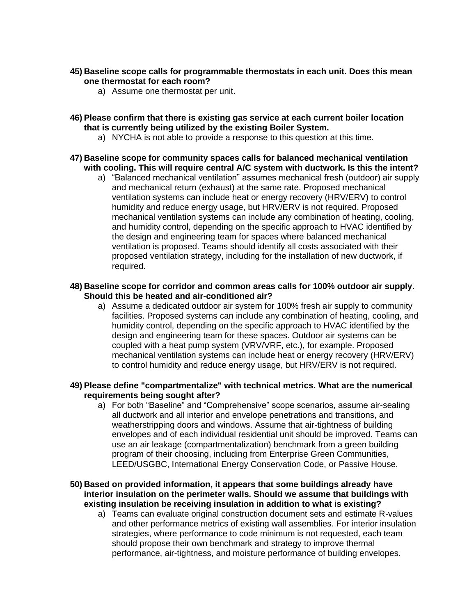#### **45) Baseline scope calls for programmable thermostats in each unit. Does this mean one thermostat for each room?**

- a) Assume one thermostat per unit.
- **46) Please confirm that there is existing gas service at each current boiler location that is currently being utilized by the existing Boiler System.**
	- a) NYCHA is not able to provide a response to this question at this time.
- **47) Baseline scope for community spaces calls for balanced mechanical ventilation with cooling. This will require central A/C system with ductwork. Is this the intent?**
	- a) "Balanced mechanical ventilation" assumes mechanical fresh (outdoor) air supply and mechanical return (exhaust) at the same rate. Proposed mechanical ventilation systems can include heat or energy recovery (HRV/ERV) to control humidity and reduce energy usage, but HRV/ERV is not required. Proposed mechanical ventilation systems can include any combination of heating, cooling, and humidity control, depending on the specific approach to HVAC identified by the design and engineering team for spaces where balanced mechanical ventilation is proposed. Teams should identify all costs associated with their proposed ventilation strategy, including for the installation of new ductwork, if required.

#### **48) Baseline scope for corridor and common areas calls for 100% outdoor air supply. Should this be heated and air-conditioned air?**

a) Assume a dedicated outdoor air system for 100% fresh air supply to community facilities. Proposed systems can include any combination of heating, cooling, and humidity control, depending on the specific approach to HVAC identified by the design and engineering team for these spaces. Outdoor air systems can be coupled with a heat pump system (VRV/VRF, etc.), for example. Proposed mechanical ventilation systems can include heat or energy recovery (HRV/ERV) to control humidity and reduce energy usage, but HRV/ERV is not required.

#### **49) Please define "compartmentalize" with technical metrics. What are the numerical requirements being sought after?**

- a) For both "Baseline" and "Comprehensive" scope scenarios, assume air-sealing all ductwork and all interior and envelope penetrations and transitions, and weatherstripping doors and windows. Assume that air-tightness of building envelopes and of each individual residential unit should be improved. Teams can use an air leakage (compartmentalization) benchmark from a green building program of their choosing, including from Enterprise Green Communities, LEED/USGBC, International Energy Conservation Code, or Passive House.
- **50) Based on provided information, it appears that some buildings already have interior insulation on the perimeter walls. Should we assume that buildings with existing insulation be receiving insulation in addition to what is existing?**
	- a) Teams can evaluate original construction document sets and estimate R-values and other performance metrics of existing wall assemblies. For interior insulation strategies, where performance to code minimum is not requested, each team should propose their own benchmark and strategy to improve thermal performance, air-tightness, and moisture performance of building envelopes.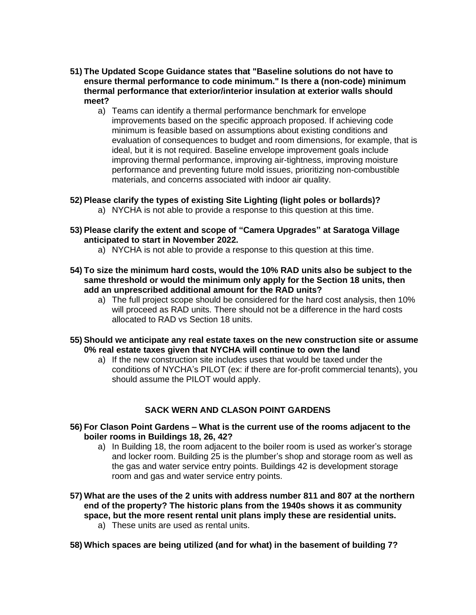- **51) The Updated Scope Guidance states that "Baseline solutions do not have to ensure thermal performance to code minimum." Is there a (non-code) minimum thermal performance that exterior/interior insulation at exterior walls should meet?**
	- a) Teams can identify a thermal performance benchmark for envelope improvements based on the specific approach proposed. If achieving code minimum is feasible based on assumptions about existing conditions and evaluation of consequences to budget and room dimensions, for example, that is ideal, but it is not required. Baseline envelope improvement goals include improving thermal performance, improving air-tightness, improving moisture performance and preventing future mold issues, prioritizing non-combustible materials, and concerns associated with indoor air quality.
- **52) Please clarify the types of existing Site Lighting (light poles or bollards)?**
	- a) NYCHA is not able to provide a response to this question at this time.
- **53) Please clarify the extent and scope of "Camera Upgrades" at Saratoga Village anticipated to start in November 2022.**
	- a) NYCHA is not able to provide a response to this question at this time.
- **54) To size the minimum hard costs, would the 10% RAD units also be subject to the same threshold or would the minimum only apply for the Section 18 units, then add an unprescribed additional amount for the RAD units?**
	- a) The full project scope should be considered for the hard cost analysis, then 10% will proceed as RAD units. There should not be a difference in the hard costs allocated to RAD vs Section 18 units.
- **55) Should we anticipate any real estate taxes on the new construction site or assume 0% real estate taxes given that NYCHA will continue to own the land**
	- a) If the new construction site includes uses that would be taxed under the conditions of NYCHA's PILOT (ex: if there are for-profit commercial tenants), you should assume the PILOT would apply.

#### **SACK WERN AND CLASON POINT GARDENS**

- **56) For Clason Point Gardens – What is the current use of the rooms adjacent to the boiler rooms in Buildings 18, 26, 42?**
	- a) In Building 18, the room adjacent to the boiler room is used as worker's storage and locker room. Building 25 is the plumber's shop and storage room as well as the gas and water service entry points. Buildings 42 is development storage room and gas and water service entry points.
- **57) What are the uses of the 2 units with address number 811 and 807 at the northern end of the property? The historic plans from the 1940s shows it as community space, but the more resent rental unit plans imply these are residential units.**
	- a) These units are used as rental units.
- **58) Which spaces are being utilized (and for what) in the basement of building 7?**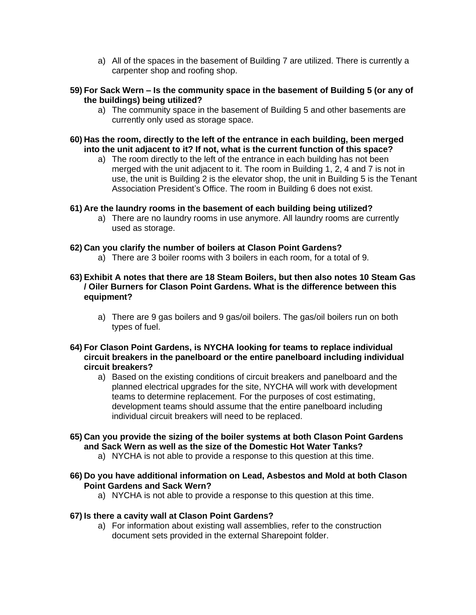- a) All of the spaces in the basement of Building 7 are utilized. There is currently a carpenter shop and roofing shop.
- **59) For Sack Wern – Is the community space in the basement of Building 5 (or any of the buildings) being utilized?**
	- a) The community space in the basement of Building 5 and other basements are currently only used as storage space.
- **60) Has the room, directly to the left of the entrance in each building, been merged into the unit adjacent to it? If not, what is the current function of this space?**
	- a) The room directly to the left of the entrance in each building has not been merged with the unit adjacent to it. The room in Building 1, 2, 4 and 7 is not in use, the unit is Building 2 is the elevator shop, the unit in Building 5 is the Tenant Association President's Office. The room in Building 6 does not exist.

#### **61) Are the laundry rooms in the basement of each building being utilized?**

a) There are no laundry rooms in use anymore. All laundry rooms are currently used as storage.

#### **62) Can you clarify the number of boilers at Clason Point Gardens?**

- a) There are 3 boiler rooms with 3 boilers in each room, for a total of 9.
- **63) Exhibit A notes that there are 18 Steam Boilers, but then also notes 10 Steam Gas / Oiler Burners for Clason Point Gardens. What is the difference between this equipment?**
	- a) There are 9 gas boilers and 9 gas/oil boilers. The gas/oil boilers run on both types of fuel.
- **64) For Clason Point Gardens, is NYCHA looking for teams to replace individual circuit breakers in the panelboard or the entire panelboard including individual circuit breakers?** 
	- a) Based on the existing conditions of circuit breakers and panelboard and the planned electrical upgrades for the site, NYCHA will work with development teams to determine replacement. For the purposes of cost estimating, development teams should assume that the entire panelboard including individual circuit breakers will need to be replaced.
- **65) Can you provide the sizing of the boiler systems at both Clason Point Gardens and Sack Wern as well as the size of the Domestic Hot Water Tanks?**
	- a) NYCHA is not able to provide a response to this question at this time.
- **66) Do you have additional information on Lead, Asbestos and Mold at both Clason Point Gardens and Sack Wern?**
	- a) NYCHA is not able to provide a response to this question at this time.

#### **67) Is there a cavity wall at Clason Point Gardens?**

a) For information about existing wall assemblies, refer to the construction document sets provided in the external Sharepoint folder.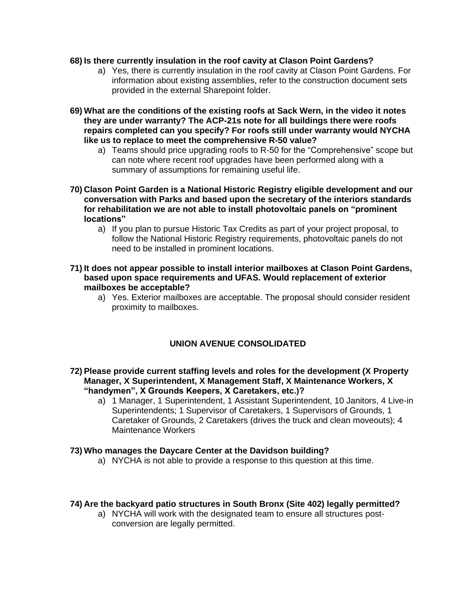#### **68) Is there currently insulation in the roof cavity at Clason Point Gardens?**

- a) Yes, there is currently insulation in the roof cavity at Clason Point Gardens. For information about existing assemblies, refer to the construction document sets provided in the external Sharepoint folder.
- **69) What are the conditions of the existing roofs at Sack Wern, in the video it notes they are under warranty? The ACP-21s note for all buildings there were roofs repairs completed can you specify? For roofs still under warranty would NYCHA like us to replace to meet the comprehensive R-50 value?**
	- a) Teams should price upgrading roofs to R-50 for the "Comprehensive" scope but can note where recent roof upgrades have been performed along with a summary of assumptions for remaining useful life.
- **70) Clason Point Garden is a National Historic Registry eligible development and our conversation with Parks and based upon the secretary of the interiors standards for rehabilitation we are not able to install photovoltaic panels on "prominent locations"**
	- a) If you plan to pursue Historic Tax Credits as part of your project proposal, to follow the National Historic Registry requirements, photovoltaic panels do not need to be installed in prominent locations.

#### **71) It does not appear possible to install interior mailboxes at Clason Point Gardens, based upon space requirements and UFAS. Would replacement of exterior mailboxes be acceptable?**

a) Yes. Exterior mailboxes are acceptable. The proposal should consider resident proximity to mailboxes.

# **UNION AVENUE CONSOLIDATED**

- **72) Please provide current staffing levels and roles for the development (X Property Manager, X Superintendent, X Management Staff, X Maintenance Workers, X "handymen", X Grounds Keepers, X Caretakers, etc.)?**
	- a) 1 Manager, 1 Superintendent, 1 Assistant Superintendent, 10 Janitors, 4 Live-in Superintendents; 1 Supervisor of Caretakers, 1 Supervisors of Grounds, 1 Caretaker of Grounds, 2 Caretakers (drives the truck and clean moveouts); 4 Maintenance Workers

#### **73) Who manages the Daycare Center at the Davidson building?**

a) NYCHA is not able to provide a response to this question at this time.

#### **74) Are the backyard patio structures in South Bronx (Site 402) legally permitted?**

a) NYCHA will work with the designated team to ensure all structures postconversion are legally permitted.